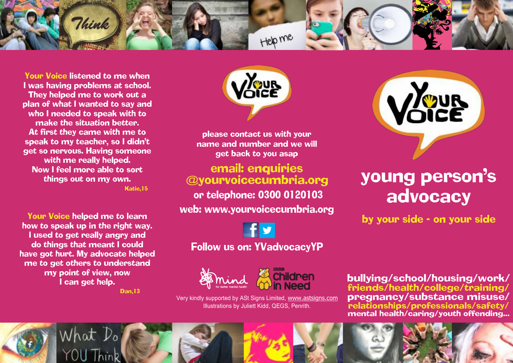

Your Voice listened to me when I was having problems at school. They helped me to work out a plan of what I wanted to say and who I needed to speak with to make the situation better. At first they came with me to speak to my teacher, so I didn't get so nervous. Having someone with me really helped. Now I feel more able to sort things out on my own. Katie,15

Your Voice helped me to learn how to speak up in the right way. I used to get really angry and do things that meant I could have got hurt. My advocate helped me to get others to understand my point of view, now I can get help. Dan,13

**OUR** 

please contact us with your name and number and we will get back to you asap

email: enquiries @yourvoicecumbria.org or telephone: 0300 0120103 web: www.yourvoicecumbria.org

Follow us on: YVadvocacyYP





Very kindly supported by ASt Signs Limited, www.astsigns.com Illustrations by Juliett Kidd, QEGS, Penrith.



# young person's advocacy

by your side - on your side

bullying/school/housing/work/ friends/health/college/training/ pregnancy/substance misuse/ relationships/professionals/safety/ mental health/caring/youth offending...